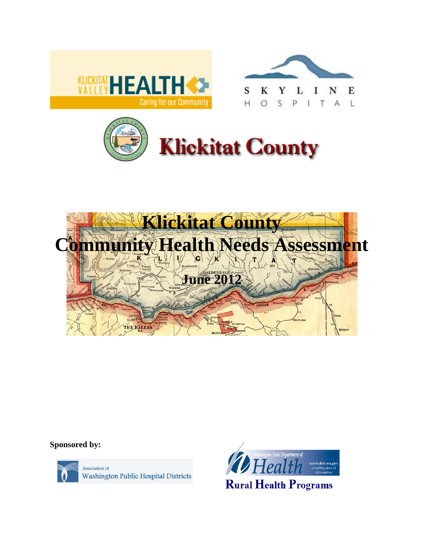







**Sponsored by:**



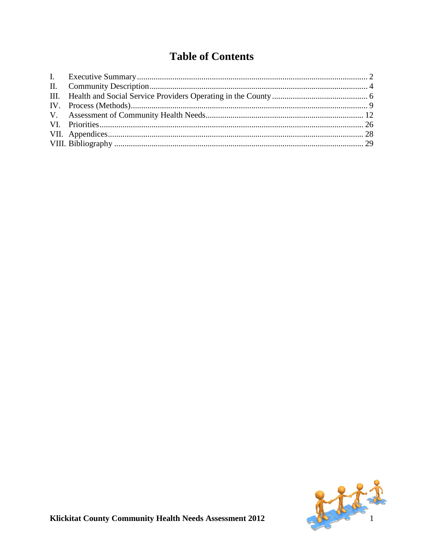# **Table of Contents**

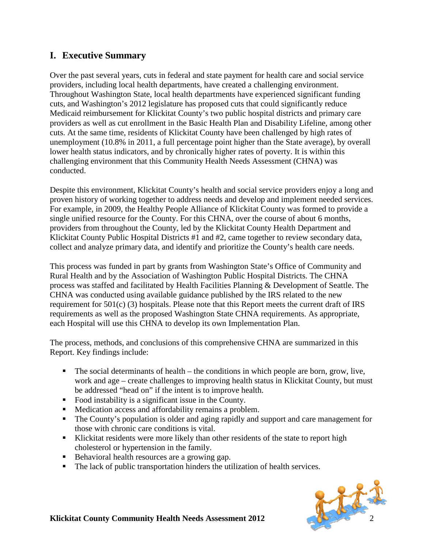# <span id="page-2-0"></span>**I. Executive Summary**

Over the past several years, cuts in federal and state payment for health care and social service providers, including local health departments, have created a challenging environment. Throughout Washington State, local health departments have experienced significant funding cuts, and Washington's 2012 legislature has proposed cuts that could significantly reduce Medicaid reimbursement for Klickitat County's two public hospital districts and primary care providers as well as cut enrollment in the Basic Health Plan and Disability Lifeline, among other cuts. At the same time, residents of Klickitat County have been challenged by high rates of unemployment (10.8% in 2011, a full percentage point higher than the State average), by overall lower health status indicators, and by chronically higher rates of poverty. It is within this challenging environment that this Community Health Needs Assessment (CHNA) was conducted.

Despite this environment, Klickitat County's health and social service providers enjoy a long and proven history of working together to address needs and develop and implement needed services. For example, in 2009, the Healthy People Alliance of Klickitat County was formed to provide a single unified resource for the County. For this CHNA, over the course of about 6 months, providers from throughout the County, led by the Klickitat County Health Department and Klickitat County Public Hospital Districts #1 and #2, came together to review secondary data, collect and analyze primary data, and identify and prioritize the County's health care needs.

This process was funded in part by grants from Washington State's Office of Community and Rural Health and by the Association of Washington Public Hospital Districts. The CHNA process was staffed and facilitated by Health Facilities Planning & Development of Seattle. The CHNA was conducted using available guidance published by the IRS related to the new requirement for 501(c) (3) hospitals. Please note that this Report meets the current draft of IRS requirements as well as the proposed Washington State CHNA requirements. As appropriate, each Hospital will use this CHNA to develop its own Implementation Plan.

The process, methods, and conclusions of this comprehensive CHNA are summarized in this Report. Key findings include:

- $\blacksquare$  The social determinants of health the conditions in which people are born, grow, live, work and age – create challenges to improving health status in Klickitat County, but must be addressed "head on" if the intent is to improve health.
- Food instability is a significant issue in the County.
- **Medication access and affordability remains a problem.**
- The County's population is older and aging rapidly and support and care management for those with chronic care conditions is vital.
- Klickitat residents were more likely than other residents of the state to report high cholesterol or hypertension in the family.
- Behavioral health resources are a growing gap.
- The lack of public transportation hinders the utilization of health services.

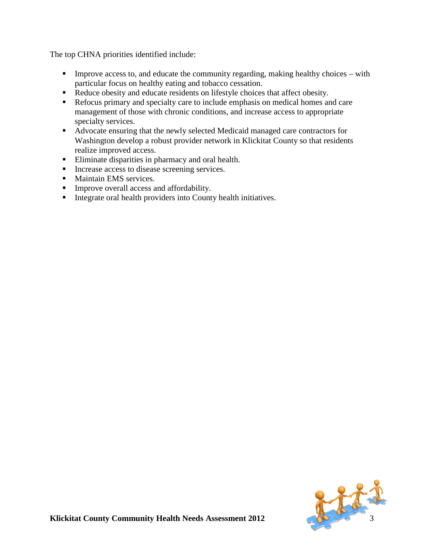The top CHNA priorities identified include:

- Improve access to, and educate the community regarding, making healthy choices with particular focus on healthy eating and tobacco cessation.
- Reduce obesity and educate residents on lifestyle choices that affect obesity.
- Refocus primary and specialty care to include emphasis on medical homes and care management of those with chronic conditions, and increase access to appropriate specialty services.
- Advocate ensuring that the newly selected Medicaid managed care contractors for Washington develop a robust provider network in Klickitat County so that residents realize improved access.
- Eliminate disparities in pharmacy and oral health.
- Increase access to disease screening services.
- **Maintain EMS services.**
- **Improve overall access and affordability.**
- <span id="page-3-0"></span>Integrate oral health providers into County health initiatives.

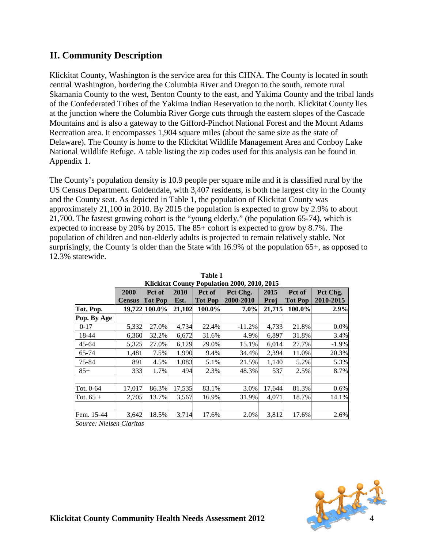# **II. Community Description**

Klickitat County, Washington is the service area for this CHNA. The County is located in south central Washington, bordering the Columbia River and Oregon to the south, remote rural Skamania County to the west, Benton County to the east, and Yakima County and the tribal lands of the Confederated Tribes of the Yakima Indian Reservation to the north. Klickitat County lies at the junction where the Columbia River Gorge cuts through the eastern slopes of the Cascade Mountains and is also a gateway to the Gifford-Pinchot National Forest and the Mount Adams Recreation area. It encompasses 1,904 square miles (about the same size as the state of Delaware). The County is home to the Klickitat Wildlife Management Area and Conboy Lake National Wildlife Refuge. A table listing the zip codes used for this analysis can be found in Appendix 1.

The County's population density is 10.9 people per square mile and it is classified rural by the US Census Department. Goldendale, with 3,407 residents, is both the largest city in the County and the County seat. As depicted in Table 1, the population of Klickitat County was approximately 21,100 in 2010. By 2015 the population is expected to grow by 2.9% to about 21,700. The fastest growing cohort is the "young elderly," (the population 65-74), which is expected to increase by 20% by 2015. The 85+ cohort is expected to grow by 8.7%. The population of children and non-elderly adults is projected to remain relatively stable. Not surprisingly, the County is older than the State with 16.9% of the population 65+, as opposed to 12.3% statewide.

|             | KhtKhiat County I opulation 2000, 2010, 2015 |                          |              |                          |                       |              |                          |                       |
|-------------|----------------------------------------------|--------------------------|--------------|--------------------------|-----------------------|--------------|--------------------------|-----------------------|
|             | 2000<br><b>Census</b>                        | Pct of<br><b>Tot Pop</b> | 2010<br>Est. | Pct of<br><b>Tot Pop</b> | Pct Chg.<br>2000-2010 | 2015<br>Proj | Pct of<br><b>Tot Pop</b> | Pct Chg.<br>2010-2015 |
| Tot. Pop.   |                                              | 19,722 100.0%            | 21,102       | $100.0\%$                | $7.0\%$               | 21,715       | 100.0%                   | 2.9%                  |
| Pop. By Age |                                              |                          |              |                          |                       |              |                          |                       |
| $0 - 17$    | 5,332                                        | 27.0%                    | 4,734        | 22.4%                    | $-11.2%$              | 4,733        | 21.8%                    | 0.0%                  |
| 18-44       | 6,360                                        | 32.2%                    | 6,672        | 31.6%                    | 4.9%                  | 6,897        | 31.8%                    | 3.4%                  |
| $45 - 64$   | 5,325                                        | 27.0%                    | 6,129        | 29.0%                    | 15.1%                 | 6,014        | 27.7%                    | $-1.9%$               |
| 65-74       | 1,481                                        | 7.5%                     | 1,990        | 9.4%                     | 34.4%                 | 2,394        | 11.0%                    | 20.3%                 |
| 75-84       | 891                                          | 4.5%                     | 1,083        | 5.1%                     | 21.5%                 | 1,140        | 5.2%                     | 5.3%                  |
| $85+$       | 333                                          | 1.7%                     | 494          | 2.3%                     | 48.3%                 | 537          | 2.5%                     | 8.7%                  |
|             |                                              |                          |              |                          |                       |              |                          |                       |
| Tot. 0-64   | 17,017                                       | 86.3%                    | 17,535       | 83.1%                    | 3.0%                  | 17,644       | 81.3%                    | 0.6%                  |
| Tot. $65+$  | 2,705                                        | 13.7%                    | 3,567        | 16.9%                    | 31.9%                 | 4.071        | 18.7%                    | 14.1%                 |
|             |                                              |                          |              |                          |                       |              |                          |                       |
| Fem. 15-44  | 3,642                                        | 18.5%                    | 3,714        | 17.6%                    | 2.0%                  | 3,812        | 17.6%                    | 2.6%                  |

**Table 1 Klickitat County Population 2000, 2010, 2015**

*Source: Nielsen Claritas*

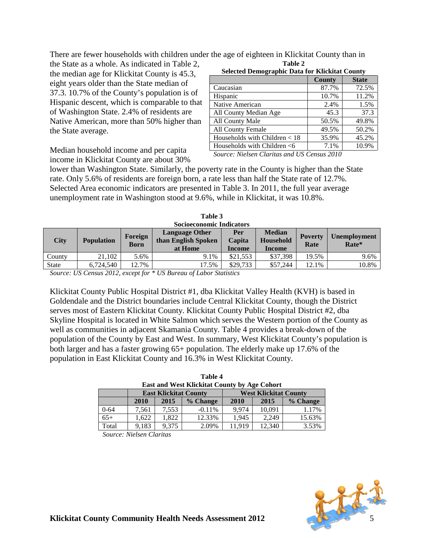There are fewer households with children under the age of eighteen in Klickitat County than in **Table 2**

the State as a whole. As indicated in Table 2, the median age for Klickitat County is 45.3, eight years older than the State median of 37.3. 10.7% of the County's population is of Hispanic descent, which is comparable to that of Washington State. 2.4% of residents are Native American, more than 50% higher than the State average.

| <b>Selected Demographic Data for Klickitat County</b> |               |              |  |  |
|-------------------------------------------------------|---------------|--------------|--|--|
|                                                       | <b>County</b> | <b>State</b> |  |  |
| Caucasian                                             | 87.7%         | 72.5%        |  |  |
| Hispanic                                              | 10.7%         | 11.2%        |  |  |
| Native American                                       | 2.4%          | 1.5%         |  |  |
| All County Median Age                                 | 45.3          | 37.3         |  |  |
| All County Male                                       | 50.5%         | 49.8%        |  |  |
| All County Female                                     | 49.5%         | 50.2%        |  |  |
| Households with Children $<$ 18                       | 35.9%         | 45.2%        |  |  |
| Households with Children $<$ 6                        | 7.1%          | 10.9%        |  |  |

Median household income and per capita income in Klickitat County are about 30%

*Source: Nielsen Claritas and US Census 2010*

lower than Washington State. Similarly, the poverty rate in the County is higher than the State rate. Only 5.6% of residents are foreign born, a rate less than half the State rate of 12.7%. Selected Area economic indicators are presented in Table 3. In 2011, the full year average unemployment rate in Washington stood at 9.6%, while in Klickitat, it was 10.8%.

| <b>Socioeconomic Indicators</b> |                   |                 |                                                         |                         |                                      |                        |                              |
|---------------------------------|-------------------|-----------------|---------------------------------------------------------|-------------------------|--------------------------------------|------------------------|------------------------------|
| <b>City</b>                     | <b>Population</b> | Foreign<br>Born | <b>Language Other</b><br>than English Spoken<br>at Home | Per<br>Capita<br>Income | <b>Median</b><br>Household<br>Income | <b>Poverty</b><br>Rate | <b>Unemployment</b><br>Rate* |
| County                          | 21.102            | 5.6%            | 9.1%                                                    | \$21.553                | \$37,398                             | 19.5%                  | 9.6%                         |
| <b>State</b>                    | 6.724.540         | 12.7%           | 17.5%                                                   | \$29,733                | \$57,244                             | 12.1%                  | 10.8%                        |

| Table 3                         |  |
|---------------------------------|--|
| <b>Socioeconomic Indicators</b> |  |

*Source: US Census 2012, except for \* US Bureau of Labor Statistics*

Klickitat County Public Hospital District #1, dba Klickitat Valley Health (KVH) is based in Goldendale and the District boundaries include Central Klickitat County, though the District serves most of Eastern Klickitat County. Klickitat County Public Hospital District #2, dba Skyline Hospital is located in White Salmon which serves the Western portion of the County as well as communities in adjacent Skamania County. Table 4 provides a break-down of the population of the County by East and West. In summary, West Klickitat County's population is both larger and has a faster growing 65+ population. The elderly make up 17.6% of the population in East Klickitat County and 16.3% in West Klickitat County.

| <b>East and West Klickitat County by Age Cohort</b> |       |                              |          |        |                              |          |
|-----------------------------------------------------|-------|------------------------------|----------|--------|------------------------------|----------|
|                                                     |       | <b>East Klickitat County</b> |          |        | <b>West Klickitat County</b> |          |
|                                                     | 2010  | 2015                         | % Change | 2010   | 2015                         | % Change |
| $0 - 64$                                            | 7,561 | 7,553                        | $-0.11%$ | 9.974  | 10,091                       | 1.17%    |
| $65+$                                               | 1.622 | 1.822                        | 12.33%   | 1.945  | 2.249                        | 15.63%   |
| Total                                               | 9,183 | 9,375                        | 2.09%    | 11.919 | 12.340                       | 3.53%    |

| Table 4                                      |
|----------------------------------------------|
| East and West Klickitat County by Age Cohort |

*Source: Nielsen Claritas*

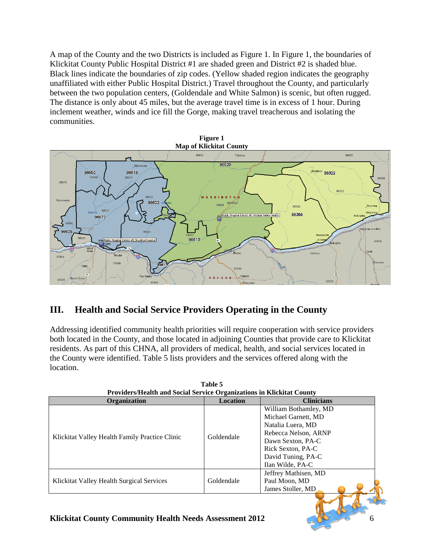A map of the County and the two Districts is included as Figure 1. In Figure 1, the boundaries of Klickitat County Public Hospital District #1 are shaded green and District #2 is shaded blue. Black lines indicate the boundaries of zip codes. (Yellow shaded region indicates the geography unaffiliated with either Public Hospital District.) Travel throughout the County, and particularly between the two population centers, (Goldendale and White Salmon) is scenic, but often rugged. The distance is only about 45 miles, but the average travel time is in excess of 1 hour. During inclement weather, winds and ice fill the Gorge, making travel treacherous and isolating the communities.



# <span id="page-6-0"></span>**III. Health and Social Service Providers Operating in the County**

Addressing identified community health priorities will require cooperation with service providers both located in the County, and those located in adjoining Counties that provide care to Klickitat residents. As part of this CHNA, all providers of medical, health, and social services located in the County were identified. Table 5 lists providers and the services offered along with the location.

| Providers/Health and Social Service Organizations in Klickitat County |                 |                                                                                                                                                                               |  |  |
|-----------------------------------------------------------------------|-----------------|-------------------------------------------------------------------------------------------------------------------------------------------------------------------------------|--|--|
| <b>Organization</b>                                                   | <b>Location</b> | <b>Clinicians</b>                                                                                                                                                             |  |  |
| Klickitat Valley Health Family Practice Clinic                        | Goldendale      | William Bothamley, MD<br>Michael Garnett, MD<br>Natalia Luera, MD<br>Rebecca Nelson, ARNP<br>Dawn Sexton, PA-C<br>Rick Sexton, PA-C<br>David Tuning, PA-C<br>Ilan Wilde, PA-C |  |  |
| Klickitat Valley Health Surgical Services                             | Goldendale      | Jeffrey Mathisen, MD<br>Paul Moon, MD<br>James Stoller, MD                                                                                                                    |  |  |
|                                                                       |                 |                                                                                                                                                                               |  |  |

|                                                                       | Table 5 |  |
|-----------------------------------------------------------------------|---------|--|
| Providers/Health and Social Service Organizations in Klickitat County |         |  |
|                                                                       |         |  |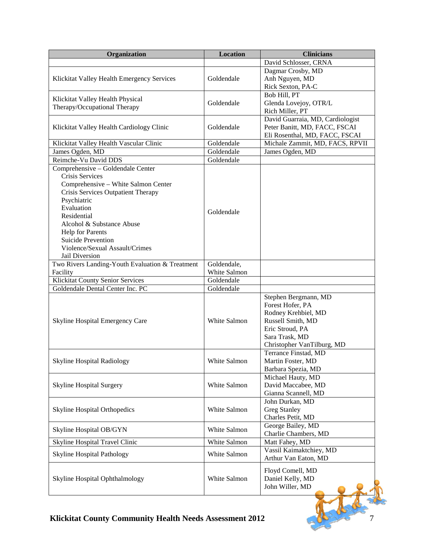| Organization                                    | <b>Location</b> | <b>Clinicians</b>                        |
|-------------------------------------------------|-----------------|------------------------------------------|
|                                                 |                 | David Schlosser, CRNA                    |
|                                                 |                 | Dagmar Crosby, MD                        |
| Klickitat Valley Health Emergency Services      | Goldendale      | Anh Nguyen, MD                           |
|                                                 |                 | Rick Sexton, PA-C                        |
|                                                 |                 | Bob Hill, PT                             |
| Klickitat Valley Health Physical                | Goldendale      | Glenda Lovejoy, OTR/L                    |
| Therapy/Occupational Therapy                    |                 | Rich Miller, PT                          |
|                                                 |                 | David Guarraia, MD, Cardiologist         |
| Klickitat Valley Health Cardiology Clinic       | Goldendale      | Peter Banitt, MD, FACC, FSCAI            |
|                                                 |                 | Eli Rosenthal, MD, FACC, FSCAI           |
| Klickitat Valley Health Vascular Clinic         | Goldendale      | Michale Zammit, MD, FACS, RPVII          |
| James Ogden, MD                                 | Goldendale      | James Ogden, MD                          |
| Reimche-Vu David DDS                            | Goldendale      |                                          |
| Comprehensive - Goldendale Center               |                 |                                          |
| Crisis Services                                 |                 |                                          |
| Comprehensive - White Salmon Center             |                 |                                          |
| Crisis Services Outpatient Therapy              |                 |                                          |
| Psychiatric                                     |                 |                                          |
| Evaluation                                      | Goldendale      |                                          |
| Residential                                     |                 |                                          |
| Alcohol & Substance Abuse                       |                 |                                          |
| <b>Help for Parents</b>                         |                 |                                          |
| <b>Suicide Prevention</b>                       |                 |                                          |
| Violence/Sexual Assault/Crimes                  |                 |                                          |
| Jail Diversion                                  |                 |                                          |
| Two Rivers Landing-Youth Evaluation & Treatment | Goldendale,     |                                          |
| Facility                                        | White Salmon    |                                          |
| Klickitat County Senior Services                | Goldendale      |                                          |
| Goldendale Dental Center Inc. PC                | Goldendale      |                                          |
|                                                 |                 | Stephen Bergmann, MD                     |
|                                                 |                 | Forest Hofer, PA                         |
| <b>Skyline Hospital Emergency Care</b>          | White Salmon    | Rodney Krehbiel, MD<br>Russell Smith, MD |
|                                                 |                 | Eric Stroud, PA                          |
|                                                 |                 | Sara Trask, MD                           |
|                                                 |                 | Christopher VanTilburg, MD               |
|                                                 |                 | Terrance Finstad, MD                     |
| Skyline Hospital Radiology                      | White Salmon    | Martin Foster, MD                        |
|                                                 |                 | Barbara Spezia, MD                       |
|                                                 |                 | Michael Hauty, MD                        |
| <b>Skyline Hospital Surgery</b>                 | White Salmon    | David Maccabee, MD                       |
|                                                 |                 | Gianna Scannell, MD                      |
|                                                 |                 | John Durkan, MD                          |
| <b>Skyline Hospital Orthopedics</b>             | White Salmon    | <b>Greg Stanley</b>                      |
|                                                 |                 | Charles Petit, MD                        |
|                                                 |                 | George Bailey, MD                        |
| Skyline Hospital OB/GYN                         | White Salmon    | Charlie Chambers, MD                     |
| Skyline Hospital Travel Clinic                  | White Salmon    | Matt Fahey, MD                           |
|                                                 |                 | Vassil Kaimaktchiey, MD                  |
| Skyline Hospital Pathology                      | White Salmon    | Arthur Van Eaton, MD                     |
|                                                 |                 |                                          |
|                                                 |                 | Floyd Comell, MD                         |
| Skyline Hospital Ophthalmology                  | White Salmon    | Daniel Kelly, MD                         |
|                                                 |                 | John Willer, MD                          |
|                                                 |                 |                                          |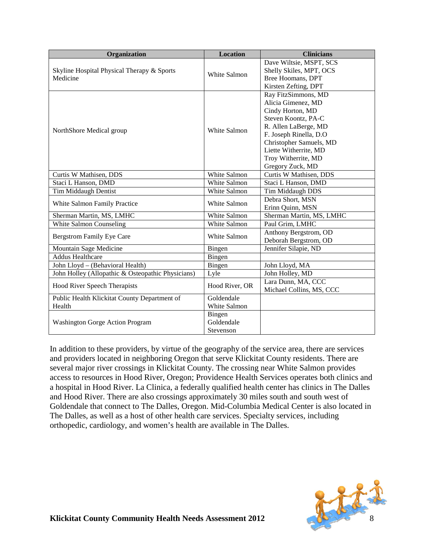| Organization                                      | <b>Location</b>     | <b>Clinicians</b>                                  |
|---------------------------------------------------|---------------------|----------------------------------------------------|
| Skyline Hospital Physical Therapy & Sports        |                     | Dave Wiltsie, MSPT, SCS<br>Shelly Skiles, MPT, OCS |
| Medicine                                          | White Salmon        | Bree Hoomans, DPT                                  |
|                                                   |                     | Kirsten Zefting, DPT                               |
|                                                   |                     | Ray FitzSimmons, MD                                |
|                                                   |                     | Alicia Gimenez, MD                                 |
|                                                   |                     | Cindy Horton, MD                                   |
|                                                   |                     | Steven Koontz, PA-C                                |
|                                                   | White Salmon        | R. Allen LaBerge, MD                               |
| NorthShore Medical group                          |                     | F. Joseph Rinella, D.O.                            |
|                                                   |                     | Christopher Samuels, MD                            |
|                                                   |                     | Liette Witherrite, MD                              |
|                                                   |                     | Troy Witherrite, MD                                |
|                                                   |                     | Gregory Zuck, MD                                   |
| Curtis W Mathisen, DDS                            | White Salmon        | Curtis W Mathisen, DDS                             |
| Staci L Hanson, DMD                               | White Salmon        | Staci L Hanson, DMD                                |
| <b>Tim Middaugh Dentist</b>                       | White Salmon        | <b>Tim Middaugh DDS</b>                            |
| White Salmon Family Practice                      | White Salmon        | Debra Short, MSN                                   |
|                                                   |                     | Erinn Quinn, MSN                                   |
| Sherman Martin, MS, LMHC                          | <b>White Salmon</b> | Sherman Martin, MS, LMHC                           |
| White Salmon Counseling                           | White Salmon        | Paul Grim, LMHC                                    |
| <b>Bergstrom Family Eye Care</b>                  | White Salmon        | Anthony Bergstrom, OD                              |
|                                                   |                     | Deborah Bergstrom, OD                              |
| Mountain Sage Medicine                            | Bingen              | Jennifer Silapie, ND                               |
| <b>Addus Healthcare</b>                           | Bingen              |                                                    |
| John Lloyd - (Behavioral Health)                  | Bingen              | John Lloyd, MA                                     |
| John Holley (Allopathic & Osteopathic Physicians) | Lyle                | John Holley, MD                                    |
| Hood River Speech Therapists                      | Hood River, OR      | Lara Dunn, MA, CCC                                 |
|                                                   |                     | Michael Collins, MS, CCC                           |
| Public Health Klickitat County Department of      | Goldendale          |                                                    |
| Health                                            | White Salmon        |                                                    |
|                                                   | Bingen              |                                                    |
| Washington Gorge Action Program                   | Goldendale          |                                                    |
|                                                   | Stevenson           |                                                    |

In addition to these providers, by virtue of the geography of the service area, there are services and providers located in neighboring Oregon that serve Klickitat County residents. There are several major river crossings in Klickitat County. The crossing near White Salmon provides access to resources in Hood River, Oregon; Providence Health Services operates both clinics and a hospital in Hood River. La Clinica, a federally qualified health center has clinics in The Dalles and Hood River. There are also crossings approximately 30 miles south and south west of Goldendale that connect to The Dalles, Oregon. Mid-Columbia Medical Center is also located in The Dalles, as well as a host of other health care services. Specialty services, including orthopedic, cardiology, and women's health are available in The Dalles.

<span id="page-8-0"></span>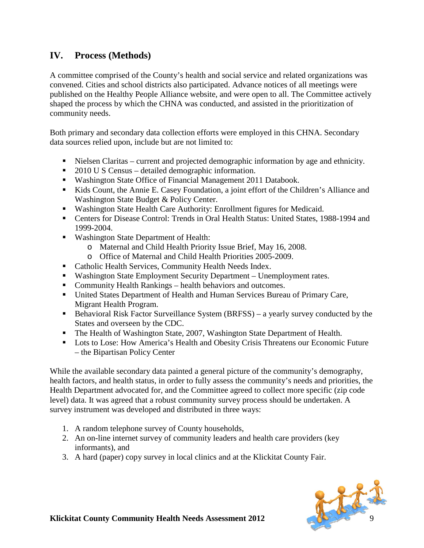# **IV. Process (Methods)**

A committee comprised of the County's health and social service and related organizations was convened. Cities and school districts also participated. Advance notices of all meetings were published on the Healthy People Alliance website, and were open to all. The Committee actively shaped the process by which the CHNA was conducted, and assisted in the prioritization of community needs.

Both primary and secondary data collection efforts were employed in this CHNA. Secondary data sources relied upon, include but are not limited to:

- Nielsen Claritas current and projected demographic information by age and ethnicity.
- 2010 U S Census detailed demographic information.
- Washington State Office of Financial Management 2011 Databook.
- Kids Count, the Annie E. Casey Foundation, a joint effort of the Children's Alliance and Washington State Budget & Policy Center.
- Washington State Health Care Authority: Enrollment figures for Medicaid.
- Centers for Disease Control: Trends in Oral Health Status: United States, 1988-1994 and 1999-2004.
- Washington State Department of Health:
	- o Maternal and Child Health Priority Issue Brief, May 16, 2008.
	- o Office of Maternal and Child Health Priorities 2005-2009.
- **Catholic Health Services, Community Health Needs Index.**
- Washington State Employment Security Department Unemployment rates.
- Community Health Rankings health behaviors and outcomes.
- United States Department of Health and Human Services Bureau of Primary Care, Migrant Health Program.
- Behavioral Risk Factor Surveillance System  $(BRFSS) a$  yearly survey conducted by the States and overseen by the CDC.
- The Health of Washington State, 2007, Washington State Department of Health.
- **Lots to Lose: How America's Health and Obesity Crisis Threatens our Economic Future** – the Bipartisan Policy Center

While the available secondary data painted a general picture of the community's demography, health factors, and health status, in order to fully assess the community's needs and priorities, the Health Department advocated for, and the Committee agreed to collect more specific (zip code level) data. It was agreed that a robust community survey process should be undertaken. A survey instrument was developed and distributed in three ways:

- 1. A random telephone survey of County households,
- 2. An on-line internet survey of community leaders and health care providers (key informants), and
- 3. A hard (paper) copy survey in local clinics and at the Klickitat County Fair.

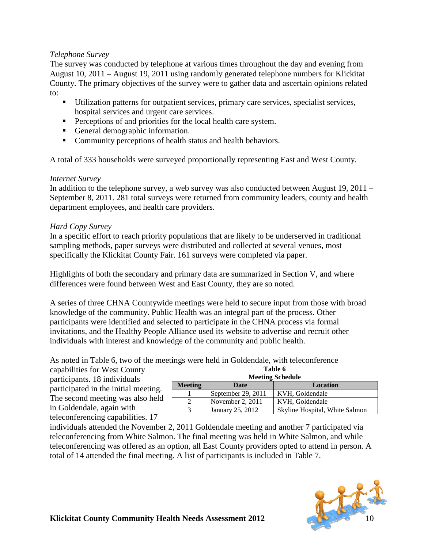#### *Telephone Survey*

The survey was conducted by telephone at various times throughout the day and evening from August 10, 2011 – August 19, 2011 using randomly generated telephone numbers for Klickitat County. The primary objectives of the survey were to gather data and ascertain opinions related to:

- Utilization patterns for outpatient services, primary care services, specialist services, hospital services and urgent care services.
- **Perceptions of and priorities for the local health care system.**
- General demographic information.
- Community perceptions of health status and health behaviors.

A total of 333 households were surveyed proportionally representing East and West County.

#### *Internet Survey*

In addition to the telephone survey, a web survey was also conducted between August 19, 2011 – September 8, 2011. 281 total surveys were returned from community leaders, county and health department employees, and health care providers.

#### *Hard Copy Survey*

In a specific effort to reach priority populations that are likely to be underserved in traditional sampling methods, paper surveys were distributed and collected at several venues, most specifically the Klickitat County Fair. 161 surveys were completed via paper.

Highlights of both the secondary and primary data are summarized in Section V, and where differences were found between West and East County, they are so noted.

A series of three CHNA Countywide meetings were held to secure input from those with broad knowledge of the community. Public Health was an integral part of the process. Other participants were identified and selected to participate in the CHNA process via formal invitations, and the Healthy People Alliance used its website to advertise and recruit other individuals with interest and knowledge of the community and public health.

As noted in Table 6, two of the meetings were held in Goldendale, with teleconference

capabilities for West County participants. 18 individuals participated in the initial meeting. The second meeting was also held in Goldendale, again with teleconferencing capabilities. 17

| <b>Meeting Schedule</b>                   |                    |                                |  |  |  |
|-------------------------------------------|--------------------|--------------------------------|--|--|--|
| <b>Meeting</b><br><b>Location</b><br>Date |                    |                                |  |  |  |
|                                           | September 29, 2011 | KVH, Goldendale                |  |  |  |
|                                           | November 2, 2011   | KVH, Goldendale                |  |  |  |
|                                           | January 25, 2012   | Skyline Hospital, White Salmon |  |  |  |

**Table 6**

individuals attended the November 2, 2011 Goldendale meeting and another 7 participated via teleconferencing from White Salmon. The final meeting was held in White Salmon, and while teleconferencing was offered as an option, all East County providers opted to attend in person. A total of 14 attended the final meeting. A list of participants is included in Table 7.

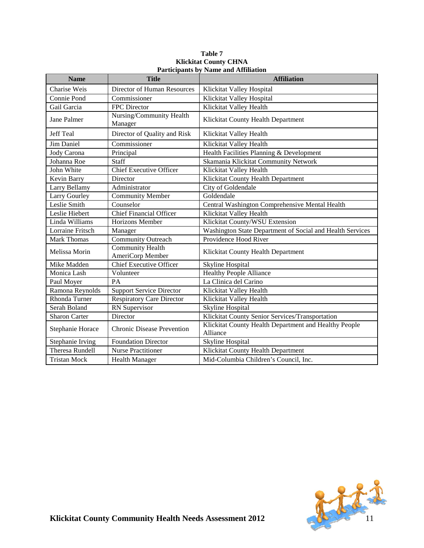| <b>Name</b>             | <b>Title</b>                                | r al derpants by Tanne and Trimatio<br><b>Affiliation</b>         |
|-------------------------|---------------------------------------------|-------------------------------------------------------------------|
| Charise Weis            | Director of Human Resources                 | Klickitat Valley Hospital                                         |
| Connie Pond             | Commissioner                                | Klickitat Valley Hospital                                         |
| Gail Garcia             | FPC Director                                | Klickitat Valley Health                                           |
| Jane Palmer             | Nursing/Community Health<br>Manager         | Klickitat County Health Department                                |
| <b>Jeff Teal</b>        | Director of Quality and Risk                | Klickitat Valley Health                                           |
| Jim Daniel              | Commissioner                                | Klickitat Valley Health                                           |
| Jody Carona             | Principal                                   | Health Facilities Planning & Development                          |
| Johanna Roe             | Staff                                       | Skamania Klickitat Community Network                              |
| John White              | <b>Chief Executive Officer</b>              | Klickitat Valley Health                                           |
| Kevin Barry             | Director                                    | Klickitat County Health Department                                |
| Larry Bellamy           | Administrator                               | City of Goldendale                                                |
| <b>Larry Gourley</b>    | <b>Community Member</b>                     | Goldendale                                                        |
| Leslie Smith            | Counselor                                   | <b>Central Washington Comprehensive Mental Health</b>             |
| Leslie Hiebert          | <b>Chief Financial Officer</b>              | Klickitat Valley Health                                           |
| Linda Williams          | Horizons Member                             | Klickitat County/WSU Extension                                    |
| <b>Lorraine Fritsch</b> | Manager                                     | Washington State Department of Social and Health Services         |
| <b>Mark Thomas</b>      | <b>Community Outreach</b>                   | Providence Hood River                                             |
| Melissa Morin           | <b>Community Health</b><br>AmeriCorp Member | Klickitat County Health Department                                |
| Mike Madden             | <b>Chief Executive Officer</b>              | Skyline Hospital                                                  |
| Monica Lash             | Volunteer                                   | <b>Healthy People Alliance</b>                                    |
| Paul Moyer              | PA                                          | La Clinica del Carino                                             |
| Ramona Reynolds         | <b>Support Service Director</b>             | Klickitat Valley Health                                           |
| Rhonda Turner           | <b>Respiratory Care Director</b>            | Klickitat Valley Health                                           |
| Serah Boland            | RN Supervisor                               | Skyline Hospital                                                  |
| <b>Sharon Carter</b>    | Director                                    | Klickitat County Senior Services/Transportation                   |
| Stephanie Horace        | <b>Chronic Disease Prevention</b>           | Klickitat County Health Department and Healthy People<br>Alliance |
| Stephanie Irving        | <b>Foundation Director</b>                  | <b>Skyline Hospital</b>                                           |
| <b>Theresa Rundell</b>  | <b>Nurse Practitioner</b>                   | Klickitat County Health Department                                |
| <b>Tristan Mock</b>     | <b>Health Manager</b>                       | Mid-Columbia Children's Council, Inc.                             |

#### **Table 7 Klickitat County CHNA Participants by Name and Affiliation**

<span id="page-11-0"></span>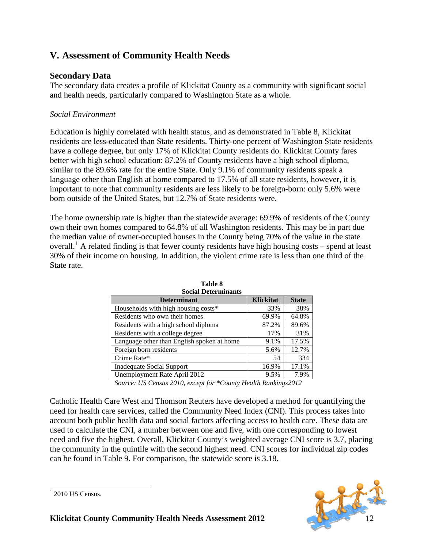# **V. Assessment of Community Health Needs**

### **Secondary Data**

The secondary data creates a profile of Klickitat County as a community with significant social and health needs, particularly compared to Washington State as a whole.

### *Social Environment*

Education is highly correlated with health status, and as demonstrated in Table 8, Klickitat residents are less-educated than State residents. Thirty-one percent of Washington State residents have a college degree, but only 17% of Klickitat County residents do. Klickitat County fares better with high school education: 87.2% of County residents have a high school diploma, similar to the 89.6% rate for the entire State. Only 9.1% of community residents speak a language other than English at home compared to 17.5% of all state residents, however, it is important to note that community residents are less likely to be foreign-born: only 5.6% were born outside of the United States, but 12.7% of State residents were.

The home ownership rate is higher than the statewide average: 69.9% of residents of the County own their own homes compared to 64.8% of all Washington residents. This may be in part due the median value of owner-occupied houses in the County being 70% of the value in the state overall.<sup>[1](#page-12-0)</sup> A related finding is that fewer county residents have high housing costs – spend at least 30% of their income on housing. In addition, the violent crime rate is less than one third of the State rate.

| Social Determinants                        |                  |              |  |  |
|--------------------------------------------|------------------|--------------|--|--|
| <b>Determinant</b>                         | <b>Klickitat</b> | <b>State</b> |  |  |
| Households with high housing costs*        | 33%              | 38%          |  |  |
| Residents who own their homes              | 69.9%            | 64.8%        |  |  |
| Residents with a high school diploma       | 87.2%            | 89.6%        |  |  |
| Residents with a college degree            | 17%              | 31%          |  |  |
| Language other than English spoken at home | 9.1%             | 17.5%        |  |  |
| Foreign born residents                     | 5.6%             | 12.7%        |  |  |
| Crime Rate*                                | 54               | 334          |  |  |
| <b>Inadequate Social Support</b>           | 16.9%            | 17.1%        |  |  |
| Unemployment Rate April 2012               | 9.5%             | 7.9%         |  |  |

**Table 8 Social Determinants**

*Source: US Census 2010, except for \*County Health Rankings2012*

Catholic Health Care West and Thomson Reuters have developed a method for quantifying the need for health care services, called the Community Need Index (CNI). This process takes into account both public health data and social factors affecting access to health care. These data are used to calculate the CNI, a number between one and five, with one corresponding to lowest need and five the highest. Overall, Klickitat County's weighted average CNI score is 3.7, placing the community in the quintile with the second highest need. CNI scores for individual zip codes can be found in Table 9. For comparison, the statewide score is 3.18.



<span id="page-12-0"></span> $1$  2010 US Census.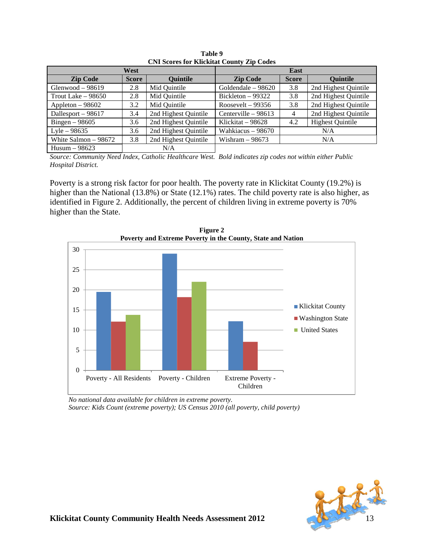|                      | CIAL BCOLOS TOL IMPORTATE COUNTY ZIP COULS |                      |                      |              |                         |  |
|----------------------|--------------------------------------------|----------------------|----------------------|--------------|-------------------------|--|
|                      | West                                       |                      |                      | <b>East</b>  |                         |  |
| <b>Zip Code</b>      | <b>Score</b>                               | <b>Ouintile</b>      | <b>Zip Code</b>      | <b>Score</b> | <b>Quintile</b>         |  |
| Glenwood $-98619$    | 2.8                                        | Mid Quintile         | Goldendale – 98620   | 3.8          | 2nd Highest Quintile    |  |
| Trout Lake $-98650$  | 2.8                                        | Mid Quintile         | Bickleton $-99322$   | 3.8          | 2nd Highest Quintile    |  |
| Appleton $-98602$    | 3.2                                        | Mid Quintile         | Roosevelt – 99356    | 3.8          | 2nd Highest Quintile    |  |
| Dallesport - 98617   | 3.4                                        | 2nd Highest Quintile | Centerville $-98613$ | 4            | 2nd Highest Quintile    |  |
| Bingen $-98605$      | 3.6                                        | 2nd Highest Quintile | Klickitat – 98628    | 4.2          | <b>Highest Quintile</b> |  |
| Lyle $-98635$        | 3.6                                        | 2nd Highest Quintile | Wahkiacus – 98670    |              | N/A                     |  |
| White Salmon - 98672 | 3.8                                        | 2nd Highest Quintile | Wishram $-98673$     | N/A          |                         |  |
| Husum $-98623$       |                                            | N/A                  |                      |              |                         |  |

**Table 9 CNI Scores for Klickitat County Zip Codes**

*Source: Community Need Index, Catholic Healthcare West. Bold indicates zip codes not within either Public Hospital District.*

Poverty is a strong risk factor for poor health. The poverty rate in Klickitat County (19.2%) is higher than the National (13.8%) or State (12.1%) rates. The child poverty rate is also higher, as identified in Figure 2. Additionally, the percent of children living in extreme poverty is 70% higher than the State.



**Figure 2 Poverty and Extreme Poverty in the County, State and Nation**

*No national data available for children in extreme poverty. Source: Kids Count (extreme poverty); US Census 2010 (all poverty, child poverty)*

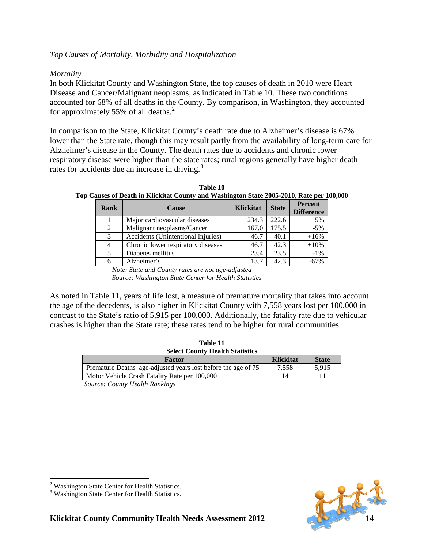#### <span id="page-14-1"></span>*Top Causes of Mortality, Morbidity and Hospitalization*

#### *Mortality*

In both Klickitat County and Washington State, the top causes of death in 2010 were Heart Disease and Cancer/Malignant neoplasms, as indicated in Table 10. These two conditions accounted for 68% of all deaths in the County. By comparison, in Washington, they accounted for approximately 55% of all deaths.<sup>[2](#page-14-0)</sup>

In comparison to the State, Klickitat County's death rate due to Alzheimer's disease is 67% lower than the State rate, though this may result partly from the availability of long-term care for Alzheimer's disease in the County. The death rates due to accidents and chronic lower respiratory disease were higher than the state rates; rural regions generally have higher death rates for accidents due an increase in driving.<sup>[3](#page-14-1)</sup>

| Rank                        | <b>Cause</b>                       | Klickitat | <b>State</b> | <b>Percent</b><br><b>Difference</b> |
|-----------------------------|------------------------------------|-----------|--------------|-------------------------------------|
|                             | Major cardiovascular diseases      | 234.3     | 222.6        | $+5%$                               |
| $\mathcal{D}_{\mathcal{L}}$ | Malignant neoplasms/Cancer         | 167.0     | 175.5        | $-5%$                               |
| 3                           | Accidents (Unintentional Injuries) | 46.7      | 40.1         | $+16%$                              |
|                             | Chronic lower respiratory diseases | 46.7      | 42.3         | $+10%$                              |
|                             | Diabetes mellitus                  | 23.4      | 23.5         | $-1\%$                              |
|                             | Alzheimer's                        | 13.7      | 42.3         | $-67%$                              |

**Table 10 Top Causes of Death in Klickitat County and Washington State 2005-2010, Rate per 100,000**

*Note: State and County rates are not age-adjusted Source: Washington State Center for Health Statistics*

As noted in Table 11, years of life lost, a measure of premature mortality that takes into account the age of the decedents, is also higher in Klickitat County with 7,558 years lost per 100,000 in contrast to the State's ratio of 5,915 per 100,000. Additionally, the fatality rate due to vehicular crashes is higher than the State rate; these rates tend to be higher for rural communities.

| таше 11                                                            |                  |              |
|--------------------------------------------------------------------|------------------|--------------|
| <b>Select County Health Statistics</b>                             |                  |              |
| Factor                                                             | <b>Klickitat</b> | <b>State</b> |
| Premature Deaths age-adjusted years lost before the age of 75      | 7.558            | 5.915        |
| Motor Vehicle Crash Fatality Rate per 100,000                      | 14               |              |
| $\alpha$ $\alpha$ $\beta$ $\alpha$ $\beta$ $\beta$ $\beta$ $\beta$ |                  |              |

**Table 11**

*Source: County Health Rankings*



<span id="page-14-0"></span>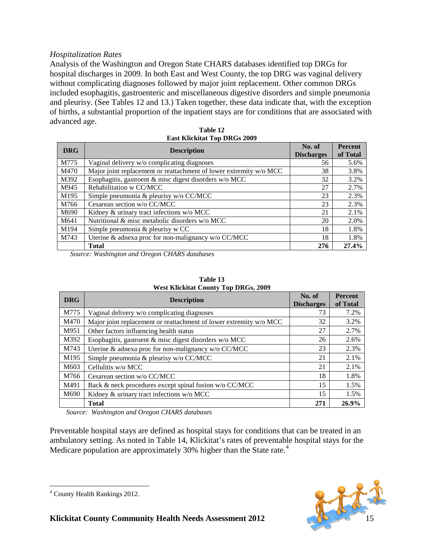#### <span id="page-15-0"></span>*Hospitalization Rates*

Analysis of the Washington and Oregon State CHARS databases identified top DRGs for hospital discharges in 2009. In both East and West County, the top DRG was vaginal delivery without complicating diagnoses followed by major joint replacement. Other common DRGs included esophagitis, gastroenteric and miscellaneous digestive disorders and simple pneumonia and pleurisy. (See Tables 12 and 13.) Taken together, these data indicate that, with the exception of births, a substantial proportion of the inpatient stays are for conditions that are associated with advanced age.

| <b>DRG</b> | <b>Description</b>                                                 | No. of<br><b>Discharges</b> | <b>Percent</b><br>of Total |
|------------|--------------------------------------------------------------------|-----------------------------|----------------------------|
| M775       | Vaginal delivery w/o complicating diagnoses                        | 56                          | 5.6%                       |
| M470       | Major joint replacement or reattachment of lower extremity w/o MCC | 38                          | 3.8%                       |
| M392       | Esophagitis, gastroent $\&$ misc digest disorders w/o MCC          | 32                          | 3.2%                       |
| M945       | Rehabilitation w CC/MCC                                            | 27                          | 2.7%                       |
| M195       | Simple pneumonia & pleurisy w/o CC/MCC                             | 23                          | 2.3%                       |
| M766       | Cesarean section w/o CC/MCC                                        | 23                          | 2.3%                       |
| M690       | Kidney & urinary tract infections w/o MCC                          | 21                          | 2.1%                       |
| M641       | Nutritional & misc metabolic disorders w/o MCC                     | 20                          | 2.0%                       |
| M194       | Simple pneumonia & pleurisy w CC                                   | 18                          | 1.8%                       |
| M743       | Uterine & adnexa proc for non-malignancy w/o CC/MCC                | 18                          | 1.8%                       |
|            | <b>Total</b>                                                       | 276                         | 27.4%                      |

**Table 12 E**<br>ERS GEORG 2000

*Source: Washington and Oregon CHARS databases*

| <b>DRG</b> | <b>Description</b>                                                 | No. of<br><b>Discharges</b> | <b>Percent</b><br>of Total |
|------------|--------------------------------------------------------------------|-----------------------------|----------------------------|
| M775       | Vaginal delivery w/o complicating diagnoses                        | 73                          | 7.2%                       |
| M470       | Major joint replacement or reattachment of lower extremity w/o MCC | 32                          | 3.2%                       |
| M951       | Other factors influencing health status                            | 27                          | 2.7%                       |
| M392       | Esophagitis, gastroent & misc digest disorders w/o MCC             | 26                          | 2.6%                       |
| M743       | Uterine & adnexa proc for non-malignancy w/o CC/MCC                | 23                          | 2.3%                       |
| M195       | Simple pneumonia & pleurisy w/o CC/MCC                             | 21                          | 2.1%                       |
| M603       | Cellulitis w/o MCC                                                 | 21                          | 2.1%                       |
| M766       | Cesarean section w/o CC/MCC                                        | 18                          | 1.8%                       |
| M491       | Back & neck procedures except spinal fusion w/o CC/MCC             | 15                          | 1.5%                       |
| M690       | Kidney & urinary tract infections w/o MCC                          | 15                          | 1.5%                       |
|            | <b>Total</b>                                                       | 271                         | 26.9%                      |

| Table 13                                    |
|---------------------------------------------|
| <b>West Klickitat County Top DRGs, 2009</b> |

*Source: Washington and Oregon CHARS databases*

Preventable hospital stays are defined as hospital stays for conditions that can be treated in an ambulatory setting. As noted in Table 14, Klickitat's rates of preventable hospital stays for the Medicare population are approximately 30% higher than the State rate.<sup>[4](#page-15-0)</sup>

 <sup>4</sup> County Health Rankings 2012.

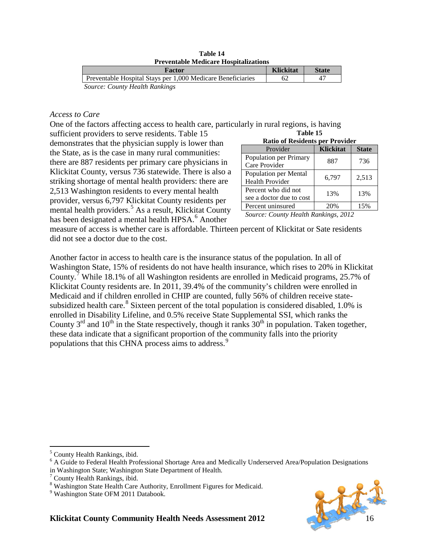**Table 14 Preventable Medicare Hospitalizations**

| Factor                                                      | <b>Klickitat</b> | <b>State</b> |
|-------------------------------------------------------------|------------------|--------------|
| Preventable Hospital Stays per 1,000 Medicare Beneficiaries |                  |              |
| Source: County Health Rankings                              |                  |              |

*Access to Care*

One of the factors affecting access to health care, particularly in rural regions, is having **Table 15**

sufficient providers to serve residents. Table 15 demonstrates that the physician supply is lower than the State, as is the case in many rural communities: there are 887 residents per primary care physicians in Klickitat County, versus 736 statewide. There is also a striking shortage of mental health providers: there are 2,513 Washington residents to every mental health provider, versus 6,797 Klickitat County residents per mental health providers.<sup>[5](#page-16-0)</sup> As a result, Klickitat County has been designated a mental health HPSA.<sup>[6](#page-16-1)</sup> Another

| <b>Ratio of Residents per Provider</b>          |                  |              |  |  |  |
|-------------------------------------------------|------------------|--------------|--|--|--|
| Provider                                        | <b>Klickitat</b> | <b>State</b> |  |  |  |
| Population per Primary<br>Care Provider         | 887              | 736          |  |  |  |
| Population per Mental<br><b>Health Provider</b> | 6,797            | 2,513        |  |  |  |
| Percent who did not<br>see a doctor due to cost | 13%              | 13%          |  |  |  |
| Percent uninsured                               | 20%              | 15%          |  |  |  |

*Source: County Health Rankings, 2012*

measure of access is whether care is affordable. Thirteen percent of Klickitat or Sate residents did not see a doctor due to the cost.

Another factor in access to health care is the insurance status of the population. In all of Washington State, 15% of residents do not have health insurance, which rises to 20% in Klickitat County.[7](#page-16-2) While 18.1% of all Washington residents are enrolled in Medicaid programs, 25.7% of Klickitat County residents are. In 2011, 39.4% of the community's children were enrolled in Medicaid and if children enrolled in CHIP are counted, fully 56% of children receive state-subsidized health care.<sup>[8](#page-16-3)</sup> Sixteen percent of the total population is considered disabled,  $1.0\%$  is enrolled in Disability Lifeline, and 0.5% receive State Supplemental SSI, which ranks the County  $3^{rd}$  and  $10^{th}$  in the State respectively, though it ranks  $30^{th}$  in population. Taken together, these data indicate that a significant proportion of the community falls into the priority populations that this CHNA process aims to address.<sup>[9](#page-16-4)</sup>

- <span id="page-16-0"></span>5 County Health Rankings, ibid.
- <span id="page-16-1"></span><sup>6</sup> A Guide to Federal Health Professional Shortage Area and Medically Underserved Area/Population Designations in Washington State; Washington State Department of Health.



 $7$  County Health Rankings, ibid.

<span id="page-16-3"></span><span id="page-16-2"></span><sup>&</sup>lt;sup>8</sup> Washington State Health Care Authority, Enrollment Figures for Medicaid.<br><sup>9</sup> Washington State OFM 2011 Databook.

<span id="page-16-4"></span>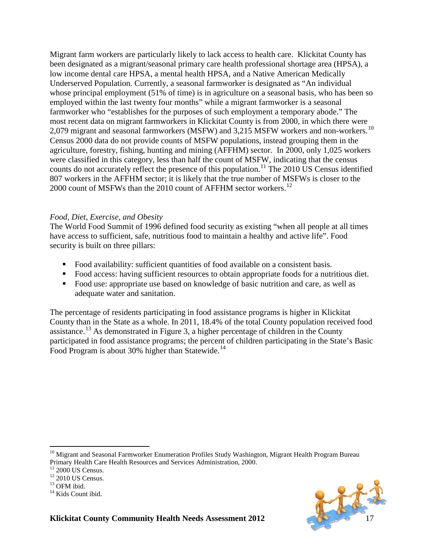Migrant farm workers are particularly likely to lack access to health care. Klickitat County has been designated as a migrant/seasonal primary care health professional shortage area (HPSA), a low income dental care HPSA, a mental health HPSA, and a Native American Medically Underserved Population. Currently, a seasonal farmworker is designated as "An individual whose principal employment (51% of time) is in agriculture on a seasonal basis, who has been so employed within the last twenty four months" while a migrant farmworker is a seasonal farmworker who "establishes for the purposes of such employment a temporary abode." The most recent data on migrant farmworkers in Klickitat County is from 2000, in which there were 2,079 migrant and seasonal farmworkers (MSFW) and 3,215 MSFW workers and non-workers.<sup>10</sup> Census 2000 data do not provide counts of MSFW populations, instead grouping them in the agriculture, forestry, fishing, hunting and mining (AFFHM) sector. In 2000, only 1,025 workers were classified in this category, less than half the count of MSFW, indicating that the census counts do not accurately reflect the presence of this population.<sup>[11](#page-17-1)</sup> The 2010 US Census identified 807 workers in the AFFHM sector; it is likely that the true number of MSFWs is closer to the 2000 count of MSFWs than the 2010 count of AFFHM sector workers.<sup>[12](#page-17-2)</sup>

#### *Food, Diet, Exercise, and Obesity*

The World Food Summit of 1996 defined food security as existing "when all people at all times have access to sufficient, safe, nutritious food to maintain a healthy and active life". Food security is built on three pillars:

- Food availability: sufficient quantities of food available on a consistent basis.
- Food access: having sufficient resources to obtain appropriate foods for a nutritious diet.
- Food use: appropriate use based on knowledge of basic nutrition and care, as well as adequate water and sanitation.

The percentage of residents participating in food assistance programs is higher in Klickitat County than in the State as a whole. In 2011, 18.4% of the total County population received food assistance.<sup>[13](#page-17-3)</sup> As demonstrated in Figure 3, a higher percentage of children in the County participated in food assistance programs; the percent of children participating in the State's Basic Food Program is about 30% higher than Statewide.<sup>[14](#page-17-4)</sup>



<span id="page-17-0"></span><sup>&</sup>lt;sup>10</sup> Migrant and Seasonal Farmworker Enumeration Profiles Study Washington, Migrant Health Program Bureau Primary Health Care Health Resources and Services Administration, 2000.<br>
<sup>11</sup> 2000 US Census.<br>
<sup>12</sup> 2010 US Census.<br>
<sup>13</sup> OFM ibid.<br>
<sup>14</sup> Kids Count ibid.

<span id="page-17-1"></span>

<span id="page-17-3"></span><span id="page-17-2"></span>

<span id="page-17-4"></span>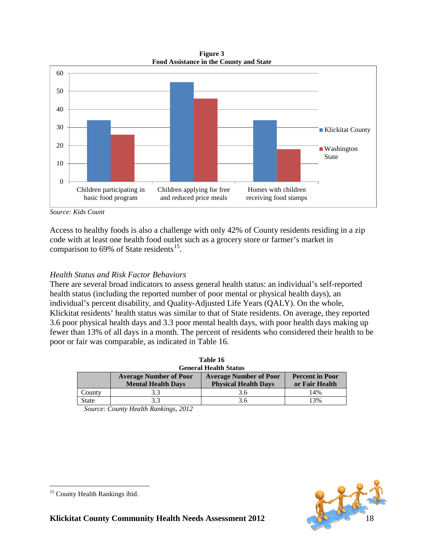**Figure 3 Food Assistance in the County and State**



*Source: Kids Count*

Access to healthy foods is also a challenge with only 42% of County residents residing in a zip code with at least one health food outlet such as a grocery store or farmer's market in comparison to  $69\%$  of State residents<sup>15</sup>.

### *Health Status and Risk Factor Behaviors*

There are several broad indicators to assess general health status: an individual's self-reported health status (including the reported number of poor mental or physical health days), an individual's percent disability, and Quality-Adjusted Life Years (QALY). On the whole, Klickitat residents' health status was similar to that of State residents. On average, they reported 3.6 poor physical health days and 3.3 poor mental health days, with poor health days making up fewer than 13% of all days in a month. The percent of residents who considered their health to be poor or fair was comparable, as indicated in Table 16.

|              | таріе то                      |                               |                        |  |  |  |
|--------------|-------------------------------|-------------------------------|------------------------|--|--|--|
|              | <b>General Health Status</b>  |                               |                        |  |  |  |
|              | <b>Average Number of Poor</b> | <b>Average Number of Poor</b> | <b>Percent in Poor</b> |  |  |  |
|              | <b>Mental Health Days</b>     | <b>Physical Health Days</b>   | or Fair Health         |  |  |  |
| County       | 3.3                           | 3.6                           | 14%                    |  |  |  |
| <b>State</b> | 3.3                           | 3.6                           | 13%                    |  |  |  |

**Table 16**

*Source: County Health Rankings, 2012*



<span id="page-18-0"></span><sup>&</sup>lt;sup>15</sup> County Health Rankings ibid.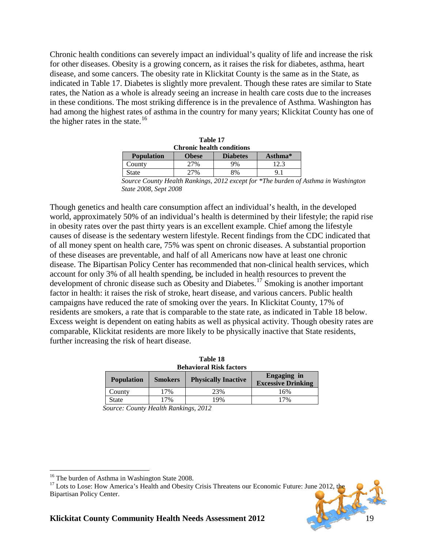Chronic health conditions can severely impact an individual's quality of life and increase the risk for other diseases. Obesity is a growing concern, as it raises the risk for diabetes, asthma, heart disease, and some cancers. The obesity rate in Klickitat County is the same as in the State, as indicated in Table 17. Diabetes is slightly more prevalent. Though these rates are similar to State rates, the Nation as a whole is already seeing an increase in health care costs due to the increases in these conditions. The most striking difference is in the prevalence of Asthma. Washington has had among the highest rates of asthma in the country for many years; Klickitat County has one of the higher rates in the state.<sup>[16](#page-19-0)</sup>

| Table 17                                                          |              |                 |         |  |  |
|-------------------------------------------------------------------|--------------|-----------------|---------|--|--|
| <b>Chronic health conditions</b>                                  |              |                 |         |  |  |
| <b>Population</b>                                                 | <b>Obese</b> | <b>Diabetes</b> | Asthma* |  |  |
| County                                                            | 27%          | 9%              | 12.3    |  |  |
| <b>State</b>                                                      | 2.7%         | 8%              |         |  |  |
| Source County Health Rankings. 2012 except for *The burden of Ast |              |                 |         |  |  |

*Source County Health Rankings, 2012 except for \*The burden of Asthma in Washington State 2008, Sept 2008*

Though genetics and health care consumption affect an individual's health, in the developed world, approximately 50% of an individual's health is determined by their lifestyle; the rapid rise in obesity rates over the past thirty years is an excellent example. Chief among the lifestyle causes of disease is the sedentary western lifestyle. Recent findings from the CDC indicated that of all money spent on health care, 75% was spent on chronic diseases. A substantial proportion of these diseases are preventable, and half of all Americans now have at least one chronic disease. The Bipartisan Policy Center has recommended that non-clinical health services, which account for only 3% of all health spending, be included in health resources to prevent the development of chronic disease such as Obesity and Diabetes.[17](#page-19-1) Smoking is another important factor in health: it raises the risk of stroke, heart disease, and various cancers. Public health campaigns have reduced the rate of smoking over the years. In Klickitat County, 17% of residents are smokers, a rate that is comparable to the state rate, as indicated in Table 18 below. Excess weight is dependent on eating habits as well as physical activity. Though obesity rates are comparable, Klickitat residents are more likely to be physically inactive that State residents, further increasing the risk of heart disease.

| таріе то<br><b>Behavioral Risk factors</b> |                |                            |                                                 |  |  |
|--------------------------------------------|----------------|----------------------------|-------------------------------------------------|--|--|
| <b>Population</b>                          | <b>Smokers</b> | <b>Physically Inactive</b> | <b>Engaging</b> in<br><b>Excessive Drinking</b> |  |  |
| County                                     | 17%            | 23%                        | 16%                                             |  |  |
| <b>State</b>                               | 17%            | 19%                        | 17%                                             |  |  |

**Table 18***n* **<b>18***n* **18***n* **18***n* **18***n* **<b>18***n* **18***n* **<b>18***n* **18***n* **18***n* **18***n* **18***n* **<b>18***n* **18***n* **18** 

*Source: County Health Rankings, 2012*

<span id="page-19-1"></span><span id="page-19-0"></span><sup>&</sup>lt;sup>16</sup> The burden of Asthma in Washington State 2008.<br><sup>17</sup> Lots to Lose: How America's Health and Obesity Crisis Threatens our Economic Future: June 2012, the Bipartisan Policy Center.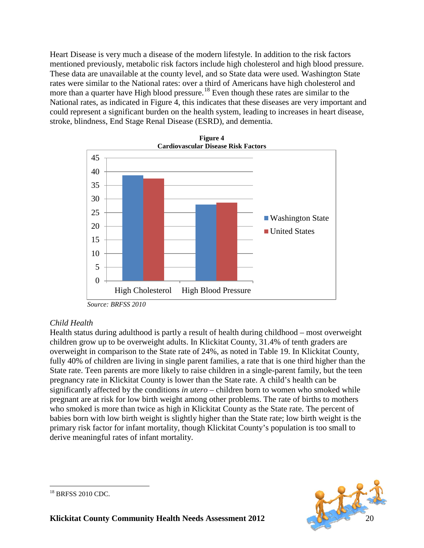Heart Disease is very much a disease of the modern lifestyle. In addition to the risk factors mentioned previously, metabolic risk factors include high cholesterol and high blood pressure. These data are unavailable at the county level, and so State data were used. Washington State rates were similar to the National rates: over a third of Americans have high cholesterol and more than a quarter have High blood pressure.<sup>[18](#page-20-0)</sup> Even though these rates are similar to the National rates, as indicated in Figure 4, this indicates that these diseases are very important and could represent a significant burden on the health system, leading to increases in heart disease, stroke, blindness, End Stage Renal Disease (ESRD), and dementia.



### *Child Health*

Health status during adulthood is partly a result of health during childhood – most overweight children grow up to be overweight adults. In Klickitat County, 31.4% of tenth graders are overweight in comparison to the State rate of 24%, as noted in Table 19. In Klickitat County, fully 40% of children are living in single parent families, a rate that is one third higher than the State rate. Teen parents are more likely to raise children in a single-parent family, but the teen pregnancy rate in Klickitat County is lower than the State rate. A child's health can be significantly affected by the conditions *in utero* – children born to women who smoked while pregnant are at risk for low birth weight among other problems. The rate of births to mothers who smoked is more than twice as high in Klickitat County as the State rate. The percent of babies born with low birth weight is slightly higher than the State rate; low birth weight is the primary risk factor for infant mortality, though Klickitat County's population is too small to derive meaningful rates of infant mortality.



<span id="page-20-0"></span><sup>&</sup>lt;sup>18</sup> BRFSS 2010 CDC.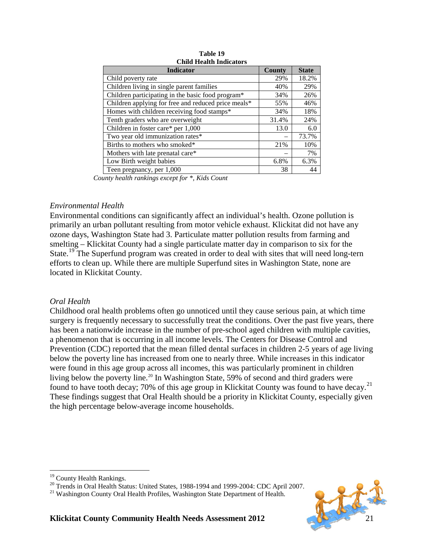| <b>Indicator</b>                                    | County | <b>State</b> |
|-----------------------------------------------------|--------|--------------|
| Child poverty rate                                  | 29%    | 18.2%        |
| Children living in single parent families           | 40%    | 29%          |
| Children participating in the basic food program*   | 34%    | 26%          |
| Children applying for free and reduced price meals* | 55%    | 46%          |
| Homes with children receiving food stamps*          | 34%    | 18%          |
| Tenth graders who are overweight                    | 31.4%  | 24%          |
| Children in foster care* per 1,000                  | 13.0   | 6.0          |
| Two year old immunization rates*                    |        | 73.7%        |
| Births to mothers who smoked*                       | 21%    | 10%          |
| Mothers with late prenatal care*                    |        | 7%           |
| Low Birth weight babies                             | 6.8%   | 6.3%         |
| Teen pregnancy, per 1,000                           | 38     | 44           |

**Table 19 Child Health Indicators**

*County health rankings except for \*, Kids Count*

#### *Environmental Health*

Environmental conditions can significantly affect an individual's health. Ozone pollution is primarily an urban pollutant resulting from motor vehicle exhaust. Klickitat did not have any ozone days, Washington State had 3. Particulate matter pollution results from farming and smelting – Klickitat County had a single particulate matter day in comparison to six for the State.<sup>[19](#page-21-0)</sup> The Superfund program was created in order to deal with sites that will need long-tern efforts to clean up. While there are multiple Superfund sites in Washington State, none are located in Klickitat County.

#### *Oral Health*

Childhood oral health problems often go unnoticed until they cause serious pain, at which time surgery is frequently necessary to successfully treat the conditions. Over the past five years, there has been a nationwide increase in the number of pre-school aged children with multiple cavities, a phenomenon that is occurring in all income levels. The Centers for Disease Control and Prevention (CDC) reported that the mean filled dental surfaces in children 2-5 years of age living below the poverty line has increased from one to nearly three. While increases in this indicator were found in this age group across all incomes, this was particularly prominent in children living below the poverty line.<sup>[20](#page-21-1)</sup> In Washington State, 59% of second and third graders were found to have tooth decay; 70% of this age group in Klickitat County was found to have decay.<sup>[21](#page-21-2)</sup> These findings suggest that Oral Health should be a priority in Klickitat County, especially given the high percentage below-average income households.



<span id="page-21-2"></span><span id="page-21-1"></span><span id="page-21-0"></span><sup>&</sup>lt;sup>19</sup> County Health Rankings.<br><sup>20</sup> Trends in Oral Health Status: United States, 1988-1994 and 1999-2004: CDC April 2007.<br><sup>21</sup> Washington County Oral Health Profiles, Washington State Department of Health.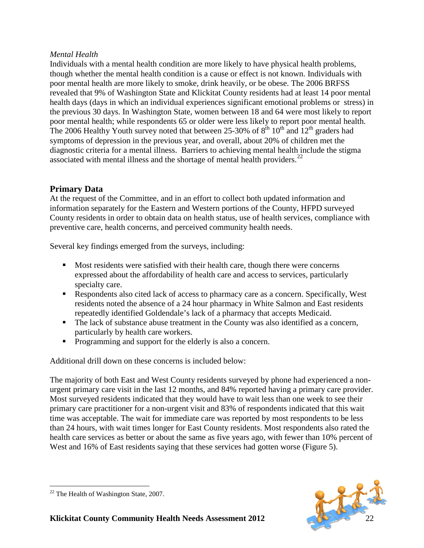### *Mental Health*

Individuals with a mental health condition are more likely to have physical health problems, though whether the mental health condition is a cause or effect is not known. Individuals with poor mental health are more likely to smoke, drink heavily, or be obese. The 2006 BRFSS revealed that 9% of Washington State and Klickitat County residents had at least 14 poor mental health days (days in which an individual experiences significant emotional problems or stress) in the previous 30 days. In Washington State, women between 18 and 64 were most likely to report poor mental health; while respondents 65 or older were less likely to report poor mental health. The 2006 Healthy Youth survey noted that between 25-30% of  $8^{th}$  10<sup>th</sup> and 12<sup>th</sup> graders had symptoms of depression in the previous year, and overall, about 20% of children met the diagnostic criteria for a mental illness. Barriers to achieving mental health include the stigma associated with mental illness and the shortage of mental health providers. $^{22}$  $^{22}$  $^{22}$ 

## **Primary Data**

At the request of the Committee, and in an effort to collect both updated information and information separately for the Eastern and Western portions of the County, HFPD surveyed County residents in order to obtain data on health status, use of health services, compliance with preventive care, health concerns, and perceived community health needs.

Several key findings emerged from the surveys, including:

- Most residents were satisfied with their health care, though there were concerns expressed about the affordability of health care and access to services, particularly specialty care.
- Respondents also cited lack of access to pharmacy care as a concern. Specifically, West residents noted the absence of a 24 hour pharmacy in White Salmon and East residents repeatedly identified Goldendale's lack of a pharmacy that accepts Medicaid.
- The lack of substance abuse treatment in the County was also identified as a concern, particularly by health care workers.
- **Programming and support for the elderly is also a concern.**

Additional drill down on these concerns is included below:

The majority of both East and West County residents surveyed by phone had experienced a nonurgent primary care visit in the last 12 months, and 84% reported having a primary care provider. Most surveyed residents indicated that they would have to wait less than one week to see their primary care practitioner for a non-urgent visit and 83% of respondents indicated that this wait time was acceptable. The wait for immediate care was reported by most respondents to be less than 24 hours, with wait times longer for East County residents. Most respondents also rated the health care services as better or about the same as five years ago, with fewer than 10% percent of West and 16% of East residents saying that these services had gotten worse (Figure 5).



<span id="page-22-0"></span> $22$  The Health of Washington State, 2007.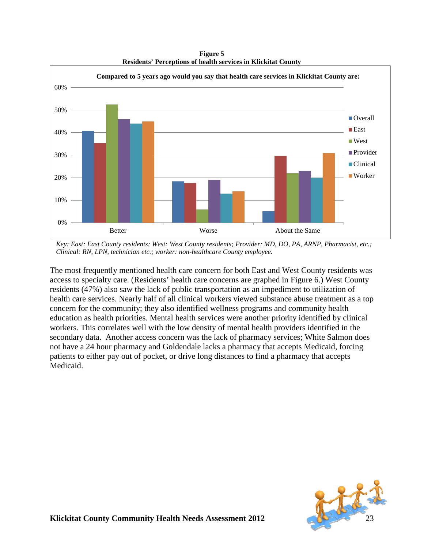**Figure 5 Residents' Perceptions of health services in Klickitat County**



*Key: East: East County residents; West: West County residents; Provider: MD, DO, PA, ARNP, Pharmacist, etc.; Clinical: RN, LPN, technician etc.; worker: non-healthcare County employee.*

The most frequently mentioned health care concern for both East and West County residents was access to specialty care. (Residents' health care concerns are graphed in Figure 6.) West County residents (47%) also saw the lack of public transportation as an impediment to utilization of health care services. Nearly half of all clinical workers viewed substance abuse treatment as a top concern for the community; they also identified wellness programs and community health education as health priorities. Mental health services were another priority identified by clinical workers. This correlates well with the low density of mental health providers identified in the secondary data. Another access concern was the lack of pharmacy services; White Salmon does not have a 24 hour pharmacy and Goldendale lacks a pharmacy that accepts Medicaid, forcing patients to either pay out of pocket, or drive long distances to find a pharmacy that accepts Medicaid.

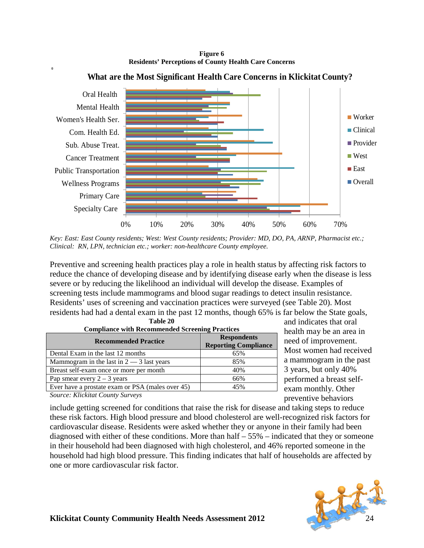**Figure 6 Residents' Perceptions of County Health Care Concerns**



### **What are the Most Significant Health Care Concerns in Klickitat County?**

*Key: East: East County residents; West: West County residents; Provider: MD, DO, PA, ARNP, Pharmacist etc.; Clinical: RN, LPN, technician etc.; worker: non-healthcare County employee.*

Preventive and screening health practices play a role in health status by affecting risk factors to reduce the chance of developing disease and by identifying disease early when the disease is less severe or by reducing the likelihood an individual will develop the disease. Examples of screening tests include mammograms and blood sugar readings to detect insulin resistance. Residents' uses of screening and vaccination practices were surveyed (see Table 20). Most residents had had a dental exam in the past 12 months, though 65% is far below the State goals, **Table 20**

| <b>Compliance with Recommended Screening Practices</b> |                                                   |  |  |
|--------------------------------------------------------|---------------------------------------------------|--|--|
| <b>Recommended Practice</b>                            | <b>Respondents</b><br><b>Reporting Compliance</b> |  |  |
| Dental Exam in the last 12 months                      | 65%                                               |  |  |
| Mammogram in the last in $2 - 3$ last years            | 85%                                               |  |  |
| Breast self-exam once or more per month                | 40%                                               |  |  |
| Pap smear every $2 - 3$ years                          | 66%                                               |  |  |
| Ever have a prostate exam or PSA (males over 45)       | 45%                                               |  |  |
| Course Vligbitat County Surveyer                       |                                                   |  |  |

and indicates that oral health may be an area in need of improvement. Most women had received a mammogram in the past 3 years, but only 40% performed a breast selfexam monthly. Other preventive behaviors

*Source: Klickitat County Surveys*

include getting screened for conditions that raise the risk for disease and taking steps to reduce these risk factors. High blood pressure and blood cholesterol are well-recognized risk factors for cardiovascular disease. Residents were asked whether they or anyone in their family had been diagnosed with either of these conditions. More than half  $-55%$  – indicated that they or someone in their household had been diagnosed with high cholesterol, and 46% reported someone in the household had high blood pressure. This finding indicates that half of households are affected by one or more cardiovascular risk factor.

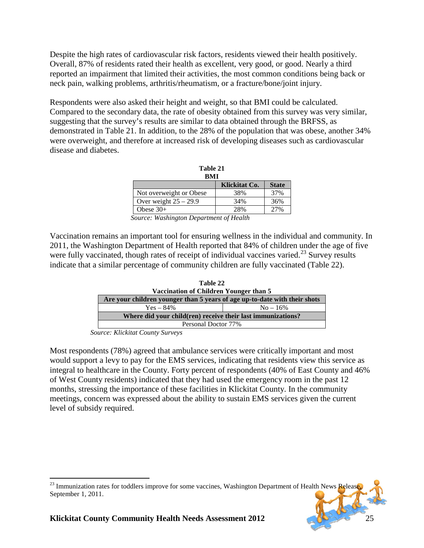Despite the high rates of cardiovascular risk factors, residents viewed their health positively. Overall, 87% of residents rated their health as excellent, very good, or good. Nearly a third reported an impairment that limited their activities, the most common conditions being back or neck pain, walking problems, arthritis/rheumatism, or a fracture/bone/joint injury.

Respondents were also asked their height and weight, so that BMI could be calculated. Compared to the secondary data, the rate of obesity obtained from this survey was very similar, suggesting that the survey's results are similar to data obtained through the BRFSS, as demonstrated in Table 21. In addition, to the 28% of the population that was obese, another 34% were overweight, and therefore at increased risk of developing diseases such as cardiovascular disease and diabetes.

| Table 21<br>BMI         |               |              |  |  |
|-------------------------|---------------|--------------|--|--|
|                         | Klickitat Co. | <b>State</b> |  |  |
| Not overweight or Obese | 38%           | 37%          |  |  |
| Over weight $25 - 29.9$ | 34%           | 36%          |  |  |
| Obese $30+$             | 28%           | 27%          |  |  |

*Source: Washington Department of Health* 

Vaccination remains an important tool for ensuring wellness in the individual and community. In 2011, the Washington Department of Health reported that 84% of children under the age of five were fully vaccinated, though rates of receipt of individual vaccines varied.<sup>[23](#page-25-1)</sup> Survey results indicate that a similar percentage of community children are fully vaccinated (Table 22).

| Table 22                                                                  |             |  |
|---------------------------------------------------------------------------|-------------|--|
| Vaccination of Children Younger than 5                                    |             |  |
| Are your children younger than 5 years of age up-to-date with their shots |             |  |
| $Yes - 84\%$                                                              | $No - 16\%$ |  |
| Where did your child(ren) receive their last immunizations?               |             |  |
| Personal Doctor 77%                                                       |             |  |

*Source: Klickitat County Surveys*

Most respondents (78%) agreed that ambulance services were critically important and most would support a levy to pay for the EMS services, indicating that residents view this service as integral to healthcare in the County. Forty percent of respondents (40% of East County and 46% of West County residents) indicated that they had used the emergency room in the past 12 months, stressing the importance of these facilities in Klickitat County. In the community meetings, concern was expressed about the ability to sustain EMS services given the current level of subsidy required.

<span id="page-25-1"></span><span id="page-25-0"></span> $^{23}$  Immunization rates for toddlers improve for some vaccines, Washington Department of Health News Releas September 1, 2011.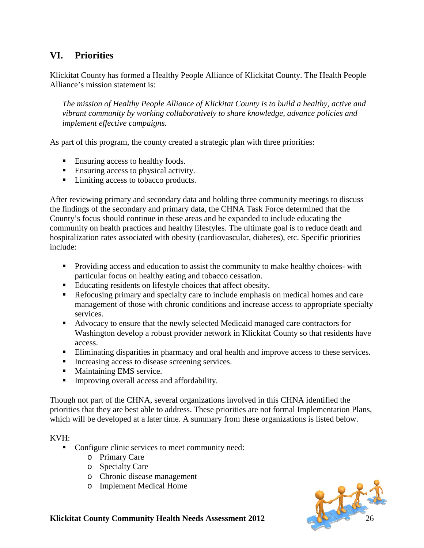# **VI. Priorities**

Klickitat County has formed a Healthy People Alliance of Klickitat County. The Health People Alliance's mission statement is:

*The mission of Healthy People Alliance of Klickitat County is to build a healthy, active and vibrant community by working collaboratively to share knowledge, advance policies and implement effective campaigns.* 

As part of this program, the county created a strategic plan with three priorities:

- Ensuring access to healthy foods.
- Ensuring access to physical activity.
- Limiting access to tobacco products.

After reviewing primary and secondary data and holding three community meetings to discuss the findings of the secondary and primary data, the CHNA Task Force determined that the County's focus should continue in these areas and be expanded to include educating the community on health practices and healthy lifestyles. The ultimate goal is to reduce death and hospitalization rates associated with obesity (cardiovascular, diabetes), etc. Specific priorities include:

- **Providing access and education to assist the community to make healthy choices- with** particular focus on healthy eating and tobacco cessation.
- Educating residents on lifestyle choices that affect obesity.
- Refocusing primary and specialty care to include emphasis on medical homes and care management of those with chronic conditions and increase access to appropriate specialty services.
- Advocacy to ensure that the newly selected Medicaid managed care contractors for Washington develop a robust provider network in Klickitat County so that residents have access.
- Eliminating disparities in pharmacy and oral health and improve access to these services.
- Increasing access to disease screening services.
- **Maintaining EMS service.**
- Improving overall access and affordability.

Though not part of the CHNA, several organizations involved in this CHNA identified the priorities that they are best able to address. These priorities are not formal Implementation Plans, which will be developed at a later time. A summary from these organizations is listed below.

#### KVH:

- Configure clinic services to meet community need:
	- o Primary Care
	- o Specialty Care
	- o Chronic disease management
	- o Implement Medical Home

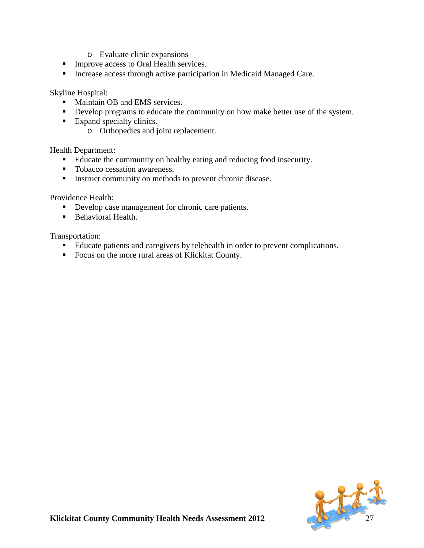- o Evaluate clinic expansions
- **Improve access to Oral Health services.**
- **Increase access through active participation in Medicaid Managed Care.**

Skyline Hospital:

- Maintain OB and EMS services.
- Develop programs to educate the community on how make better use of the system.
- Expand specialty clinics.
	- o Orthopedics and joint replacement.

Health Department:

- Educate the community on healthy eating and reducing food insecurity.
- **Tobacco cessation awareness.**
- **Instruct community on methods to prevent chronic disease.**

Providence Health:

- Develop case management for chronic care patients.
- Behavioral Health.

Transportation:

- Educate patients and caregivers by telehealth in order to prevent complications.
- <span id="page-27-0"></span>Focus on the more rural areas of Klickitat County.

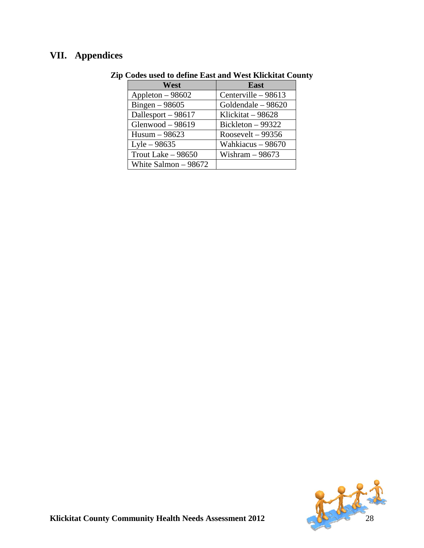# **VII. Appendices**

| West                  | East                |
|-----------------------|---------------------|
| Appleton $-98602$     | Centerville - 98613 |
| Bingen $-98605$       | Goldendale - 98620  |
| Dallesport - 98617    | Klickitat - 98628   |
| Glenwood $-98619$     | Bickleton $-99322$  |
| $Husum - 98623$       | Roosevelt $-99356$  |
| $Lyle - 98635$        | Wahkiacus - 98670   |
| Trout Lake $-98650$   | Wishram $-98673$    |
| White Salmon $-98672$ |                     |

# **Zip Codes used to define East and West Klickitat County**

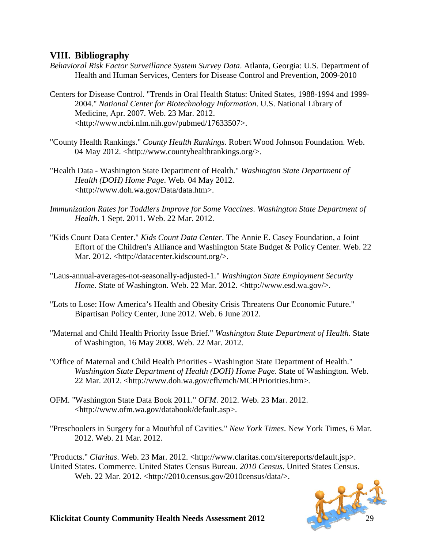## <span id="page-29-0"></span>**VIII. Bibliography**

- *Behavioral Risk Factor Surveillance System Survey Data*. Atlanta, Georgia: U.S. Department of Health and Human Services, Centers for Disease Control and Prevention, 2009-2010
- Centers for Disease Control. "Trends in Oral Health Status: United States, 1988-1994 and 1999- 2004." *National Center for Biotechnology Information*. U.S. National Library of Medicine, Apr. 2007. Web. 23 Mar. 2012. <http://www.ncbi.nlm.nih.gov/pubmed/17633507>.
- "County Health Rankings." *County Health Rankings*. Robert Wood Johnson Foundation. Web. 04 May 2012. <http://www.countyhealthrankings.org/>.
- "Health Data Washington State Department of Health." *Washington State Department of Health (DOH) Home Page*. Web. 04 May 2012. <http://www.doh.wa.gov/Data/data.htm>.
- *Immunization Rates for Toddlers Improve for Some Vaccines*. *Washington State Department of Health*. 1 Sept. 2011. Web. 22 Mar. 2012.
- "Kids Count Data Center." *Kids Count Data Center*. The Annie E. Casey Foundation, a Joint Effort of the Children's Alliance and Washington State Budget & Policy Center. Web. 22 Mar. 2012. <http://datacenter.kidscount.org/>.
- "Laus-annual-averages-not-seasonally-adjusted-1." *Washington State Employment Security Home*. State of Washington. Web. 22 Mar. 2012. <http://www.esd.wa.gov/>.
- "Lots to Lose: How America's Health and Obesity Crisis Threatens Our Economic Future." Bipartisan Policy Center, June 2012. Web. 6 June 2012.
- "Maternal and Child Health Priority Issue Brief." *Washington State Department of Health*. State of Washington, 16 May 2008. Web. 22 Mar. 2012.
- "Office of Maternal and Child Health Priorities Washington State Department of Health." *Washington State Department of Health (DOH) Home Page*. State of Washington. Web. 22 Mar. 2012. <http://www.doh.wa.gov/cfh/mch/MCHPriorities.htm>.
- OFM. "Washington State Data Book 2011." *OFM*. 2012. Web. 23 Mar. 2012. <http://www.ofm.wa.gov/databook/default.asp>.
- "Preschoolers in Surgery for a Mouthful of Cavities." *New York Times*. New York Times, 6 Mar. 2012. Web. 21 Mar. 2012.

"Products." *Claritas*. Web. 23 Mar. 2012. <http://www.claritas.com/sitereports/default.jsp>. United States. Commerce. United States Census Bureau. *2010 Census*. United States Census. Web. 22 Mar. 2012. <http://2010.census.gov/2010census/data/>.